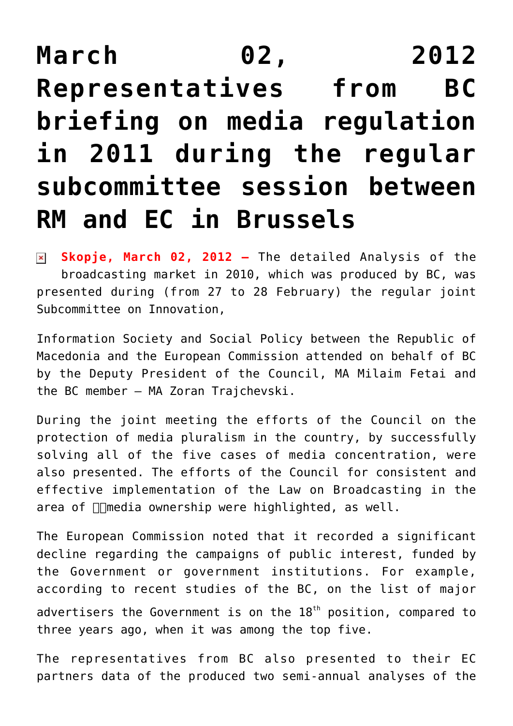## **[March 02, 2012](https://avmu.mk/en/2012/03/02/march-02-2012-representatives-from-bc-briefing-on-media-regulation-in-2011-during-the-regular-subcommittee-session-between-rm-and-ec-in-brussels/) [Representatives from BC](https://avmu.mk/en/2012/03/02/march-02-2012-representatives-from-bc-briefing-on-media-regulation-in-2011-during-the-regular-subcommittee-session-between-rm-and-ec-in-brussels/) [briefing on media regulation](https://avmu.mk/en/2012/03/02/march-02-2012-representatives-from-bc-briefing-on-media-regulation-in-2011-during-the-regular-subcommittee-session-between-rm-and-ec-in-brussels/) [in 2011 during the regular](https://avmu.mk/en/2012/03/02/march-02-2012-representatives-from-bc-briefing-on-media-regulation-in-2011-during-the-regular-subcommittee-session-between-rm-and-ec-in-brussels/) [subcommittee session between](https://avmu.mk/en/2012/03/02/march-02-2012-representatives-from-bc-briefing-on-media-regulation-in-2011-during-the-regular-subcommittee-session-between-rm-and-ec-in-brussels/) [RM and EC in Brussels](https://avmu.mk/en/2012/03/02/march-02-2012-representatives-from-bc-briefing-on-media-regulation-in-2011-during-the-regular-subcommittee-session-between-rm-and-ec-in-brussels/)**

**Skopje, March 02, 2012 –** The detailed Analysis of the broadcasting market in 2010, which was produced by BC, was presented during (from 27 to 28 February) the regular joint Subcommittee on Innovation,

Information Society and Social Policy between the Republic of Macedonia and the European Commission attended on behalf of BC by the Deputy President of the Council, MA Milaim Fetai and the BC member – MA Zoran Trajchevski.

During the joint meeting the efforts of the Council on the protection of media pluralism in the country, by successfully solving all of the five cases of media concentration, were also presented. The efforts of the Council for consistent and effective implementation of the Law on Broadcasting in the area of  $\Box$ media ownership were highlighted, as well.

The European Commission noted that it recorded a significant decline regarding the campaigns of public interest, funded by the Government or government institutions. For example, according to recent studies of the BC, on the list of major advertisers the Government is on the  $18<sup>th</sup>$  position, compared to three years ago, when it was among the top five.

The representatives from BC also presented to their EC partners data of the produced two semi-annual analyses of the